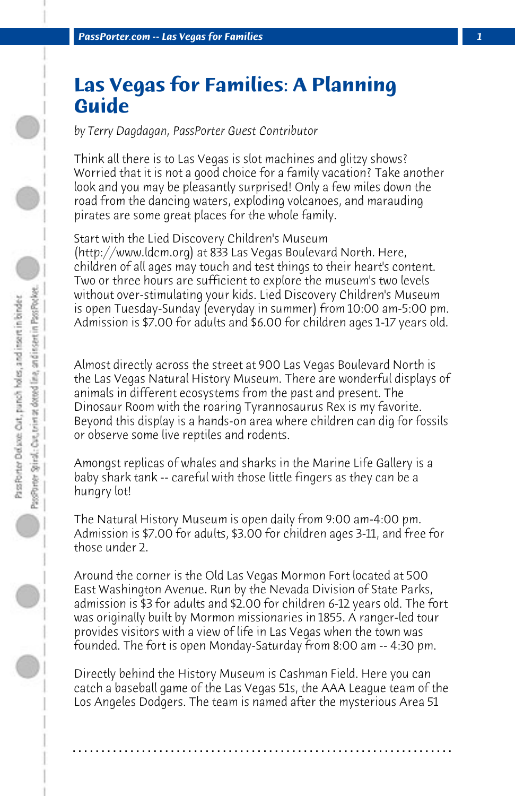## **Las Vegas for Families: A Planning Guide**

*by Terry Dagdagan, PassPorter Guest Contributor*

Think all there is to Las Vegas is slot machines and glitzy shows? Worried that it is not a good choice for a family vacation? Take another look and you may be pleasantly surprised! Only a few miles down the road from the dancing waters, exploding volcanoes, and marauding pirates are some great places for the whole family.

Start with the Lied Discovery Children's Museum (http://www.ldcm.org) at 833 Las Vegas Boulevard North. Here, children of all ages may touch and test things to their heart's content. Two or three hours are sufficient to explore the museum's two levels without over-stimulating your kids. Lied Discovery Children's Museum is open Tuesday-Sunday (everyday in summer) from 10:00 am-5:00 pm. Admission is \$7.00 for adults and \$6.00 for children ages 1-17 years old.

Almost directly across the street at 900 Las Vegas Boulevard North is the Las Vegas Natural History Museum. There are wonderful displays of animals in different ecosystems from the past and present. The Dinosaur Room with the roaring Tyrannosaurus Rex is my favorite. Beyond this display is a hands-on area where children can dig for fossils or observe some live reptiles and rodents.

Amongst replicas of whales and sharks in the Marine Life Gallery is a baby shark tank -- careful with those little fingers as they can be a hungry lot!

The Natural History Museum is open daily from 9:00 am-4:00 pm. Admission is \$7.00 for adults, \$3.00 for children ages 3-11, and free for those under 2.

Around the corner is the Old Las Vegas Mormon Fort located at 500 East Washington Avenue. Run by the Nevada Division of State Parks, admission is \$3 for adults and \$2.00 for children 6-12 years old. The fort was originally built by Mormon missionaries in 1855. A ranger-led tour provides visitors with a view of life in Las Vegas when the town was founded. The fort is open Monday-Saturday from 8:00 am -- 4:30 pm.

Directly behind the History Museum is Cashman Field. Here you can catch a baseball game of the Las Vegas 51s, the AAA League team of the Los Angeles Dodgers. The team is named after the mysterious Area 51

**. . . . . . . . . . . . . . . . . . . . . . . . . . . . . . . . . . . . . . . . . . . . . . . . . . . . . . . . . . . . . . . . . .**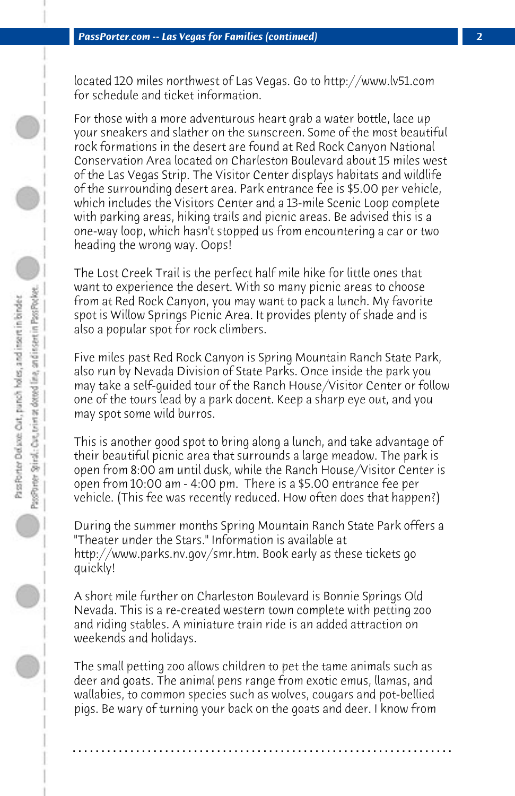located 120 miles northwest of Las Vegas. Go to http://www.lv51.com for schedule and ticket information.

For those with a more adventurous heart grab a water bottle, lace up your sneakers and slather on the sunscreen. Some of the most beautiful rock formations in the desert are found at Red Rock Canyon National Conservation Area located on Charleston Boulevard about 15 miles west of the Las Vegas Strip. The Visitor Center displays habitats and wildlife of the surrounding desert area. Park entrance fee is \$5.00 per vehicle, which includes the Visitors Center and a 13-mile Scenic Loop complete with parking areas, hiking trails and picnic areas. Be advised this is a one-way loop, which hasn't stopped us from encountering a car or two heading the wrong way. Oops!

The Lost Creek Trail is the perfect half mile hike for little ones that want to experience the desert. With so many picnic areas to choose from at Red Rock Canyon, you may want to pack a lunch. My favorite spot is Willow Springs Picnic Area. It provides plenty of shade and is also a popular spot for rock climbers.

Five miles past Red Rock Canyon is Spring Mountain Ranch State Park, also run by Nevada Division of State Parks. Once inside the park you may take a self-guided tour of the Ranch House/Visitor Center or follow one of the tours lead by a park docent. Keep a sharp eye out, and you may spot some wild burros.

This is another good spot to bring along a lunch, and take advantage of their beautiful picnic area that surrounds a large meadow. The park is open from 8:00 am until dusk, while the Ranch House/Visitor Center is open from 10:00 am - 4:00 pm. There is a \$5.00 entrance fee per vehicle. (This fee was recently reduced. How often does that happen?)

During the summer months Spring Mountain Ranch State Park offers a "Theater under the Stars." Information is available at http://www.parks.nv.gov/smr.htm. Book early as these tickets go quickly!

A short mile further on Charleston Boulevard is Bonnie Springs Old Nevada. This is a re-created western town complete with petting zoo and riding stables. A miniature train ride is an added attraction on weekends and holidays.

The small petting zoo allows children to pet the tame animals such as deer and goats. The animal pens range from exotic emus, llamas, and wallabies, to common species such as wolves, cougars and pot-bellied pigs. Be wary of turning your back on the goats and deer. I know from

**. . . . . . . . . . . . . . . . . . . . . . . . . . . . . . . . . . . . . . . . . . . . . . . . . . . . . . . . . . . . . . . . . .**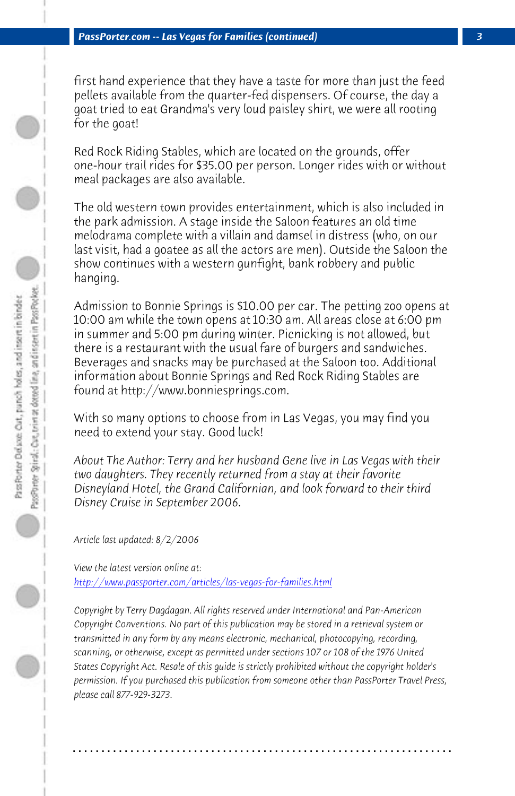first hand experience that they have a taste for more than just the feed pellets available from the quarter-fed dispensers. Of course, the day a goat tried to eat Grandma's very loud paisley shirt, we were all rooting for the goat!

Red Rock Riding Stables, which are located on the grounds, offer one-hour trail rides for \$35.00 per person. Longer rides with or without meal packages are also available.

The old western town provides entertainment, which is also included in the park admission. A stage inside the Saloon features an old time melodrama complete with a villain and damsel in distress (who, on our last visit, had a goatee as all the actors are men). Outside the Saloon the show continues with a western gunfight, bank robbery and public hanging.

Admission to Bonnie Springs is \$10.00 per car. The petting zoo opens at 10:00 am while the town opens at 10:30 am. All areas close at 6:00 pm in summer and 5:00 pm during winter. Picnicking is not allowed, but [there is a restaurant with the usual fare of burger](http://www.passporter.com/articles/las-vegas-for-families.php)s and sandwiches. Beverages and snacks may be purchased at the Saloon too. Additional information about Bonnie Springs and Red Rock Riding Stables are found at http://www.bonniesprings.com.

With so many options to choose from in Las Vegas, you may find you need to extend your stay. Good luck!

*About The Author: Terry and her husband Gene live in Las Vegas with their two daughters. They recently returned from a stay at their favorite Disneyland Hotel, the Grand Californian, and look forward to their third Disney Cruise in September 2006.*

*Article last updated: 8/2/2006*

*View the latest version online at: http://www.passporter.com/articles/las-vegas-for-families.html*

*Copyright by Terry Dagdagan. All rights reserved under International and Pan-American Copyright Conventions. No part of this publication may be stored in a retrieval system or transmitted in any form by any means electronic, mechanical, photocopying, recording, scanning, or otherwise, except as permitted under sections 107 or 108 of the 1976 United States Copyright Act. Resale of this guide is strictly prohibited without the copyright holder's permission. If you purchased this publication from someone other than PassPorter Travel Press, please call 877-929-3273.*

**. . . . . . . . . . . . . . . . . . . . . . . . . . . . . . . . . . . . . . . . . . . . . . . . . . . . . . . . . . . . . . . . . .**